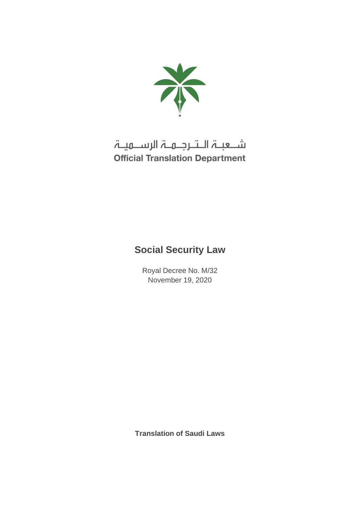

# شـعبـۃ الـتـرجـمـۃ الرســمیـۃ **Official Translation Department**

# **Social Security Law**

Royal Decree No. M/32 November 19, 2020

**Translation of Saudi Laws**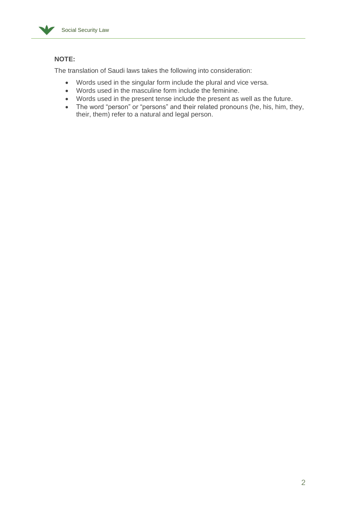

## **NOTE:**

The translation of Saudi laws takes the following into consideration:

- Words used in the singular form include the plural and vice versa.
- Words used in the masculine form include the feminine.
- Words used in the present tense include the present as well as the future.
- The word "person" or "persons" and their related pronouns (he, his, him, they, their, them) refer to a natural and legal person.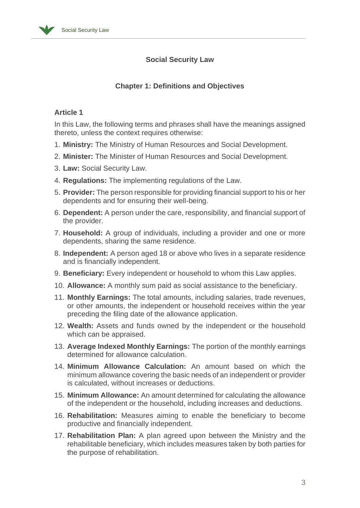

# **Social Security Law**

# **Chapter 1: Definitions and Objectives**

# **Article 1**

In this Law, the following terms and phrases shall have the meanings assigned thereto, unless the context requires otherwise:

- 1. **Ministry:** The Ministry of Human Resources and Social Development.
- 2. **Minister:** The Minister of Human Resources and Social Development.
- 3. **Law:** Social Security Law.
- 4. **Regulations:** The implementing regulations of the Law.
- 5. **Provider:** The person responsible for providing financial support to his or her dependents and for ensuring their well-being.
- 6. **Dependent:** A person under the care, responsibility, and financial support of the provider.
- 7. **Household:** A group of individuals, including a provider and one or more dependents, sharing the same residence.
- 8. **Independent:** A person aged 18 or above who lives in a separate residence and is financially independent.
- 9. **Beneficiary:** Every independent or household to whom this Law applies.
- 10. **Allowance:** A monthly sum paid as social assistance to the beneficiary.
- 11. **Monthly Earnings:** The total amounts, including salaries, trade revenues, or other amounts, the independent or household receives within the year preceding the filing date of the allowance application.
- 12. **Wealth:** Assets and funds owned by the independent or the household which can be appraised.
- 13. **Average Indexed Monthly Earnings:** The portion of the monthly earnings determined for allowance calculation.
- 14. **Minimum Allowance Calculation:** An amount based on which the minimum allowance covering the basic needs of an independent or provider is calculated, without increases or deductions.
- 15. **Minimum Allowance:** An amount determined for calculating the allowance of the independent or the household, including increases and deductions.
- 16. **Rehabilitation:** Measures aiming to enable the beneficiary to become productive and financially independent.
- 17. **Rehabilitation Plan:** A plan agreed upon between the Ministry and the rehabilitable beneficiary, which includes measures taken by both parties for the purpose of rehabilitation.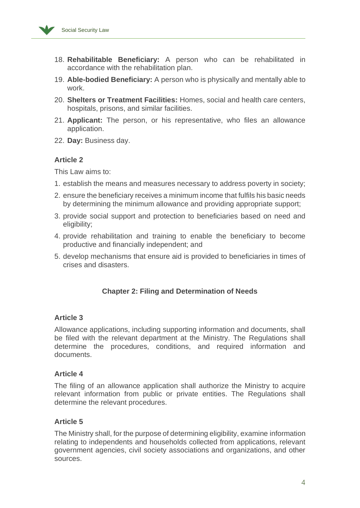- 18. **Rehabilitable Beneficiary:** A person who can be rehabilitated in accordance with the rehabilitation plan.
- 19. **Able-bodied Beneficiary:** A person who is physically and mentally able to work.
- 20. **Shelters or Treatment Facilities:** Homes, social and health care centers, hospitals, prisons, and similar facilities.
- 21. **Applicant:** The person, or his representative, who files an allowance application.
- 22. **Day:** Business day.

## **Article 2**

This Law aims to:

- 1. establish the means and measures necessary to address poverty in society;
- 2. ensure the beneficiary receives a minimum income that fulfils his basic needs by determining the minimum allowance and providing appropriate support;
- 3. provide social support and protection to beneficiaries based on need and eligibility:
- 4. provide rehabilitation and training to enable the beneficiary to become productive and financially independent; and
- 5. develop mechanisms that ensure aid is provided to beneficiaries in times of crises and disasters.

# **Chapter 2: Filing and Determination of Needs**

## **Article 3**

Allowance applications, including supporting information and documents, shall be filed with the relevant department at the Ministry. The Regulations shall determine the procedures, conditions, and required information and documents.

## **Article 4**

The filing of an allowance application shall authorize the Ministry to acquire relevant information from public or private entities. The Regulations shall determine the relevant procedures.

## **Article 5**

The Ministry shall, for the purpose of determining eligibility, examine information relating to independents and households collected from applications, relevant government agencies, civil society associations and organizations, and other sources.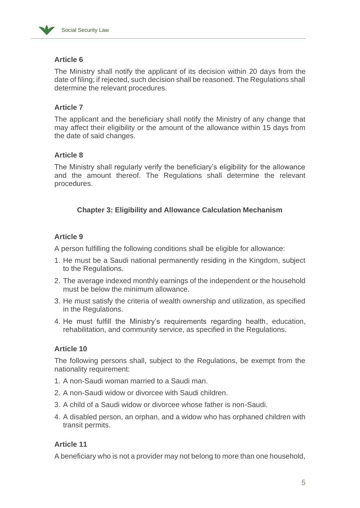

# **Article 6**

The Ministry shall notify the applicant of its decision within 20 days from the date of filing; if rejected, such decision shall be reasoned. The Regulations shall determine the relevant procedures.

## **Article 7**

The applicant and the beneficiary shall notify the Ministry of any change that may affect their eligibility or the amount of the allowance within 15 days from the date of said changes.

## **Article 8**

The Ministry shall regularly verify the beneficiary's eligibility for the allowance and the amount thereof. The Regulations shall determine the relevant procedures.

# **Chapter 3: Eligibility and Allowance Calculation Mechanism**

## **Article 9**

A person fulfilling the following conditions shall be eligible for allowance:

- 1. He must be a Saudi national permanently residing in the Kingdom, subject to the Regulations.
- 2. The average indexed monthly earnings of the independent or the household must be below the minimum allowance.
- 3. He must satisfy the criteria of wealth ownership and utilization, as specified in the Regulations.
- 4. He must fulfill the Ministry's requirements regarding health, education, rehabilitation, and community service, as specified in the Regulations.

## **Article 10**

The following persons shall, subject to the Regulations, be exempt from the nationality requirement:

- 1. A non-Saudi woman married to a Saudi man.
- 2. A non-Saudi widow or divorcee with Saudi children.
- 3. A child of a Saudi widow or divorcee whose father is non-Saudi.
- 4. A disabled person, an orphan, and a widow who has orphaned children with transit permits.

# **Article 11**

A beneficiary who is not a provider may not belong to more than one household,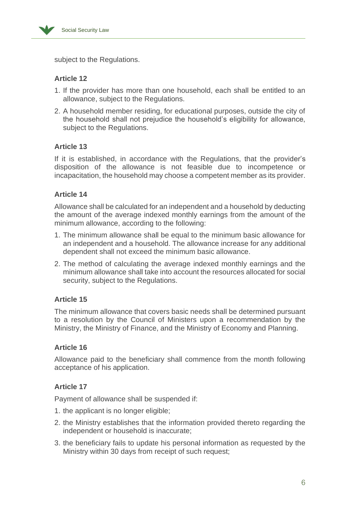

subject to the Regulations.

## **Article 12**

- 1. If the provider has more than one household, each shall be entitled to an allowance, subject to the Regulations.
- 2. A household member residing, for educational purposes, outside the city of the household shall not prejudice the household's eligibility for allowance, subject to the Regulations.

## **Article 13**

If it is established, in accordance with the Regulations, that the provider's disposition of the allowance is not feasible due to incompetence or incapacitation, the household may choose a competent member as its provider.

## **Article 14**

Allowance shall be calculated for an independent and a household by deducting the amount of the average indexed monthly earnings from the amount of the minimum allowance, according to the following:

- 1. The minimum allowance shall be equal to the minimum basic allowance for an independent and a household. The allowance increase for any additional dependent shall not exceed the minimum basic allowance.
- 2. The method of calculating the average indexed monthly earnings and the minimum allowance shall take into account the resources allocated for social security, subject to the Regulations.

## **Article 15**

The minimum allowance that covers basic needs shall be determined pursuant to a resolution by the Council of Ministers upon a recommendation by the Ministry, the Ministry of Finance, and the Ministry of Economy and Planning.

## **Article 16**

Allowance paid to the beneficiary shall commence from the month following acceptance of his application.

## **Article 17**

Payment of allowance shall be suspended if:

- 1. the applicant is no longer eligible;
- 2. the Ministry establishes that the information provided thereto regarding the independent or household is inaccurate;
- 3. the beneficiary fails to update his personal information as requested by the Ministry within 30 days from receipt of such request;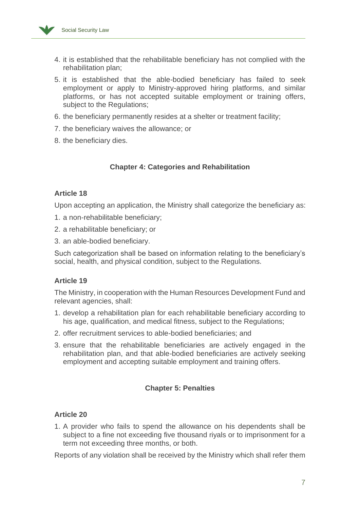

- 4. it is established that the rehabilitable beneficiary has not complied with the rehabilitation plan;
- 5. it is established that the able-bodied beneficiary has failed to seek employment or apply to Ministry-approved hiring platforms, and similar platforms, or has not accepted suitable employment or training offers, subject to the Regulations;
- 6. the beneficiary permanently resides at a shelter or treatment facility;
- 7. the beneficiary waives the allowance; or
- 8. the beneficiary dies.

## **Chapter 4: Categories and Rehabilitation**

## **Article 18**

Upon accepting an application, the Ministry shall categorize the beneficiary as:

- 1. a non-rehabilitable beneficiary;
- 2. a rehabilitable beneficiary; or
- 3. an able-bodied beneficiary.

Such categorization shall be based on information relating to the beneficiary's social, health, and physical condition, subject to the Regulations.

## **Article 19**

The Ministry, in cooperation with the Human Resources Development Fund and relevant agencies, shall:

- 1. develop a rehabilitation plan for each rehabilitable beneficiary according to his age, qualification, and medical fitness, subject to the Regulations;
- 2. offer recruitment services to able-bodied beneficiaries; and
- 3. ensure that the rehabilitable beneficiaries are actively engaged in the rehabilitation plan, and that able-bodied beneficiaries are actively seeking employment and accepting suitable employment and training offers.

## **Chapter 5: Penalties**

## **Article 20**

1. A provider who fails to spend the allowance on his dependents shall be subject to a fine not exceeding five thousand riyals or to imprisonment for a term not exceeding three months, or both.

Reports of any violation shall be received by the Ministry which shall refer them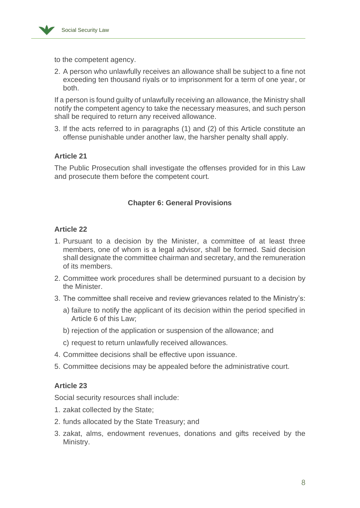

to the competent agency.

2. A person who unlawfully receives an allowance shall be subject to a fine not exceeding ten thousand riyals or to imprisonment for a term of one year, or both.

If a person is found guilty of unlawfully receiving an allowance, the Ministry shall notify the competent agency to take the necessary measures, and such person shall be required to return any received allowance.

3. If the acts referred to in paragraphs (1) and (2) of this Article constitute an offense punishable under another law, the harsher penalty shall apply.

## **Article 21**

The Public Prosecution shall investigate the offenses provided for in this Law and prosecute them before the competent court.

## **Chapter 6: General Provisions**

#### **Article 22**

- 1. Pursuant to a decision by the Minister, a committee of at least three members, one of whom is a legal advisor, shall be formed. Said decision shall designate the committee chairman and secretary, and the remuneration of its members.
- 2. Committee work procedures shall be determined pursuant to a decision by the Minister.
- 3. The committee shall receive and review grievances related to the Ministry's:
	- a) failure to notify the applicant of its decision within the period specified in Article 6 of this Law;
	- b) rejection of the application or suspension of the allowance; and
	- c) request to return unlawfully received allowances.
- 4. Committee decisions shall be effective upon issuance.
- 5. Committee decisions may be appealed before the administrative court.

## **Article 23**

Social security resources shall include:

- 1. zakat collected by the State;
- 2. funds allocated by the State Treasury; and
- 3. zakat, alms, endowment revenues, donations and gifts received by the Ministry.